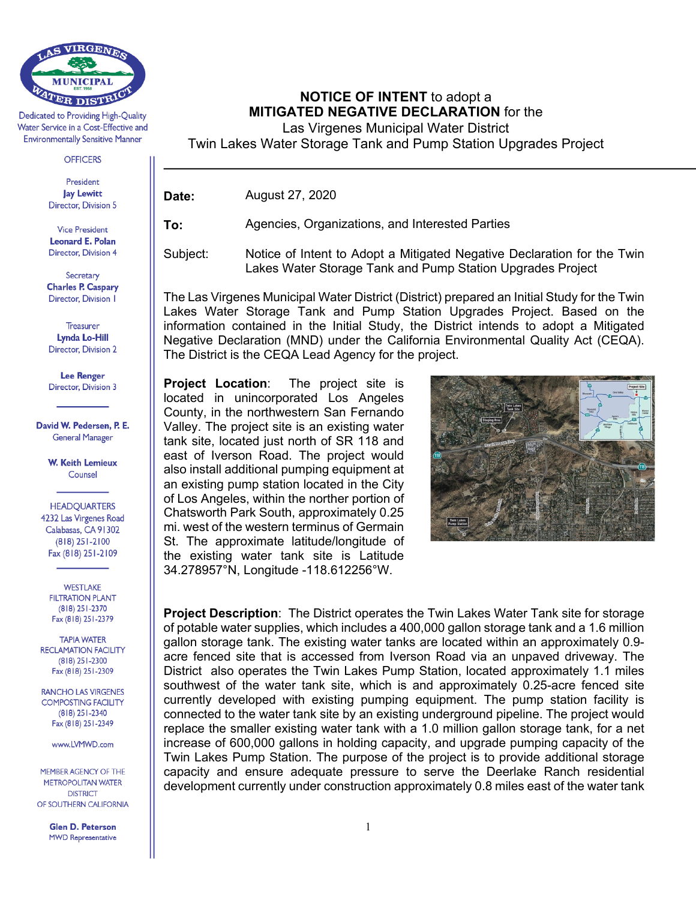

Dedicated to Providing High-Quality Water Service in a Cost-Effective and **Environmentally Sensitive Manner** 

**OFFICERS** 

President **Jay Lewitt** Director, Division 5

**Vice President** Leonard E. Polan Director, Division 4

Secretary **Charles P. Caspary** Director, Division 1

Treasurer **Lynda Lo-Hill** Director, Division 2

**Lee Renger** Director, Division 3

David W. Pedersen, P. E. **General Manager** 

> **W. Keith Lemieux** Counsel

**HEADQUARTERS** 4232 Las Virgenes Road Calabasas, CA 91302  $(818)$  251-2100 Fax (818) 251-2109

**WESTLAKE FILTRATION PLANT** (818) 251-2370 Fax (818) 251-2379

**TAPIA WATER RECLAMATION FACILITY**  $(818)$  251-2300 Fax (818) 251-2309

**RANCHO LAS VIRGENES COMPOSTING FACILITY** (818) 251-2340 Fax (818) 251-2349

www.LVMWD.com

MEMBER AGENCY OF THE **METROPOLITAN WATER DISTRICT** OF SOUTHERN CALIFORNIA

> **Glen D. Peterson MWD Representative**

**NOTICE OF INTENT** to adopt a **MITIGATED NEGATIVE DECLARATION** for the

Las Virgenes Municipal Water District

Twin Lakes Water Storage Tank and Pump Station Upgrades Project

**Date:** August 27, 2020

**To:** Agencies, Organizations, and Interested Parties

Subject: Notice of Intent to Adopt a Mitigated Negative Declaration for the Twin Lakes Water Storage Tank and Pump Station Upgrades Project

The Las Virgenes Municipal Water District (District) prepared an Initial Study for the Twin Lakes Water Storage Tank and Pump Station Upgrades Project. Based on the information contained in the Initial Study, the District intends to adopt a Mitigated Negative Declaration (MND) under the California Environmental Quality Act (CEQA). The District is the CEQA Lead Agency for the project.

**Project Location**: The project site is located in unincorporated Los Angeles County, in the northwestern San Fernando Valley. The project site is an existing water tank site, located just north of SR 118 and east of Iverson Road. The project would also install additional pumping equipment at an existing pump station located in the City of Los Angeles, within the norther portion of Chatsworth Park South, approximately 0.25 mi. west of the western terminus of Germain St. The approximate latitude/longitude of the existing water tank site is Latitude 34.278957°N, Longitude -118.612256°W.



**Project Description**: The District operates the Twin Lakes Water Tank site for storage of potable water supplies, which includes a 400,000 gallon storage tank and a 1.6 million gallon storage tank. The existing water tanks are located within an approximately 0.9 acre fenced site that is accessed from Iverson Road via an unpaved driveway. The District also operates the Twin Lakes Pump Station, located approximately 1.1 miles southwest of the water tank site, which is and approximately 0.25-acre fenced site currently developed with existing pumping equipment. The pump station facility is connected to the water tank site by an existing underground pipeline. The project would replace the smaller existing water tank with a 1.0 million gallon storage tank, for a net increase of 600,000 gallons in holding capacity, and upgrade pumping capacity of the Twin Lakes Pump Station. The purpose of the project is to provide additional storage capacity and ensure adequate pressure to serve the Deerlake Ranch residential development currently under construction approximately 0.8 miles east of the water tank